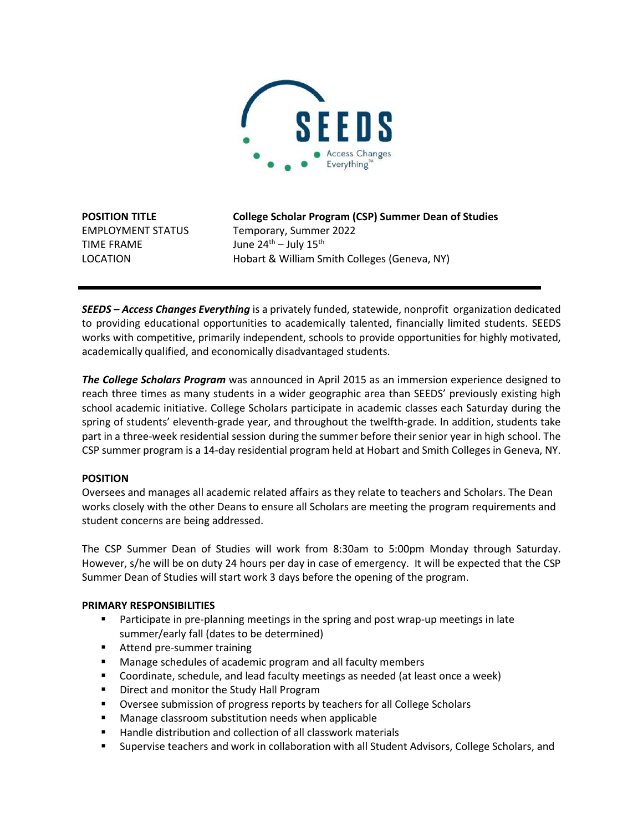

TIME FRAME  $June 24<sup>th</sup> - July 15<sup>th</sup>$ 

**POSITION TITLE College Scholar Program (CSP) Summer Dean of Studies** EMPLOYMENT STATUS Temporary, Summer 2022 LOCATION Hobart & William Smith Colleges (Geneva, NY)

*SEEDS – Access Changes Everything* is a privately funded, statewide, nonprofit organization dedicated to providing educational opportunities to academically talented, financially limited students. SEEDS works with competitive, primarily independent, schools to provide opportunities for highly motivated, academically qualified, and economically disadvantaged students.

*The College Scholars Program* was announced in April 2015 as an immersion experience designed to reach three times as many students in a wider geographic area than SEEDS' previously existing high school academic initiative. College Scholars participate in academic classes each Saturday during the spring of students' eleventh-grade year, and throughout the twelfth-grade. In addition, students take part in a three-week residential session during the summer before their senior year in high school. The CSP summer program is a 14-day residential program held at Hobart and Smith Colleges in Geneva, NY.

## **POSITION**

Oversees and manages all academic related affairs as they relate to teachers and Scholars. The Dean works closely with the other Deans to ensure all Scholars are meeting the program requirements and student concerns are being addressed.

The CSP Summer Dean of Studies will work from 8:30am to 5:00pm Monday through Saturday. However, s/he will be on duty 24 hours per day in case of emergency. It will be expected that the CSP Summer Dean of Studies will start work 3 days before the opening of the program.

### **PRIMARY RESPONSIBILITIES**

- Participate in pre-planning meetings in the spring and post wrap-up meetings in late summer/early fall (dates to be determined)
- **Attend pre-summer training**
- Manage schedules of academic program and all faculty members
- Coordinate, schedule, and lead faculty meetings as needed (at least once a week)
- **Direct and monitor the Study Hall Program**
- **Diversee submission of progress reports by teachers for all College Scholars**
- Manage classroom substitution needs when applicable
- Handle distribution and collection of all classwork materials
- Supervise teachers and work in collaboration with all Student Advisors, College Scholars, and